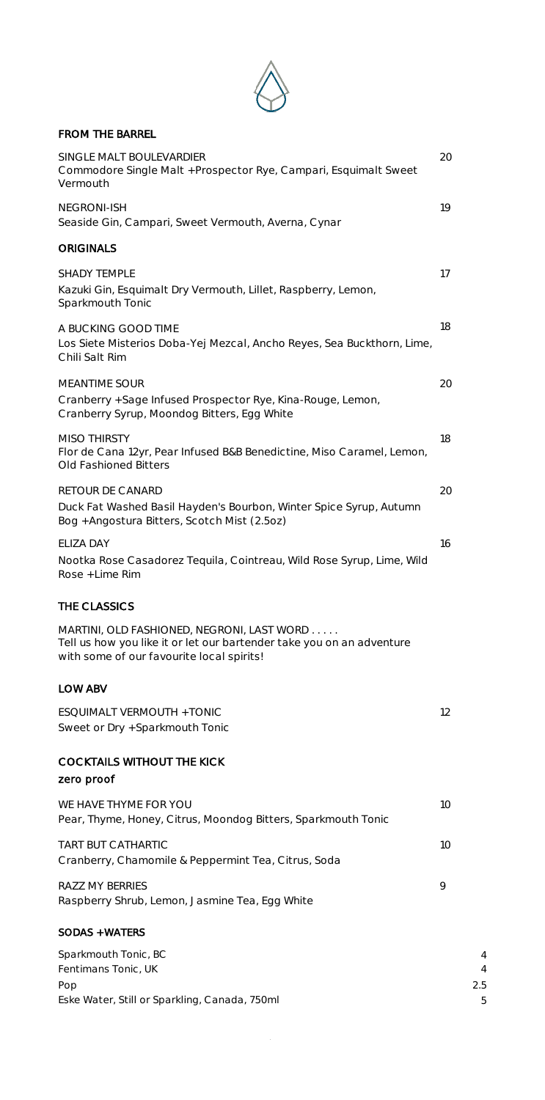

## FROM THE BARREL

| SINGLE MALT BOULEVARDIER<br>Commodore Single Malt + Prospector Rye, Campari, Esquimalt Sweet<br>Vermouth                                                         | 20            |
|------------------------------------------------------------------------------------------------------------------------------------------------------------------|---------------|
| <b>NEGRONI-ISH</b><br>Seaside Gin, Campari, Sweet Vermouth, Averna, Cynar                                                                                        | 19            |
| <b>ORIGINALS</b>                                                                                                                                                 |               |
| <b>SHADY TEMPLE</b><br>Kazuki Gin, Esquimalt Dry Vermouth, Lillet, Raspberry, Lemon,<br>Sparkmouth Tonic                                                         | 17            |
| A BUCKING GOOD TIME<br>Los Siete Misterios Doba-Yej Mezcal, Ancho Reyes, Sea Buckthorn, Lime,<br>Chili Salt Rim                                                  | 18            |
| <b>MEANTIME SOUR</b><br>Cranberry + Sage Infused Prospector Rye, Kina-Rouge, Lemon,<br>Cranberry Syrup, Moondog Bitters, Egg White                               | 20            |
| <b>MISO THIRSTY</b><br>Flor de Cana 12yr, Pear Infused B&B Benedictine, Miso Caramel, Lemon,<br>Old Fashioned Bitters                                            | 18            |
| RETOUR DE CANARD<br>Duck Fat Washed Basil Hayden's Bourbon, Winter Spice Syrup, Autumn<br>Bog + Angostura Bitters, Scotch Mist (2.5oz)                           | 20            |
| ELIZA DAY<br>Nootka Rose Casadorez Tequila, Cointreau, Wild Rose Syrup, Lime, Wild<br>Rose + Lime Rim                                                            | 16            |
| THE CLASSICS                                                                                                                                                     |               |
| MARTINI, OLD FASHIONED, NEGRONI, LAST WORD<br>Tell us how you like it or let our bartender take you on an adventure<br>with some of our favourite local spirits! |               |
| LOW ABV                                                                                                                                                          |               |
| ESQUIMALT VERMOUTH + TONIC<br>Sweet or Dry + Sparkmouth Tonic                                                                                                    | 12            |
| <b>COCKTAILS WITHOUT THE KICK</b><br>zero proof                                                                                                                  |               |
| WE HAVE THYME FOR YOU<br>Pear, Thyme, Honey, Citrus, Moondog Bitters, Sparkmouth Tonic                                                                           | 10            |
| <b>TART BUT CATHARTIC</b><br>Cranberry, Chamomile & Peppermint Tea, Citrus, Soda                                                                                 | 10            |
| RAZZ MY BERRIES<br>Raspberry Shrub, Lemon, Jasmine Tea, Egg White                                                                                                | 9             |
| <b>SODAS + WATERS</b>                                                                                                                                            |               |
| Sparkmouth Tonic, BC<br>Fentimans Tonic, UK<br>Pop                                                                                                               | 4<br>4<br>2.5 |
| Eske Water, Still or Sparkling, Canada, 750ml                                                                                                                    | 5             |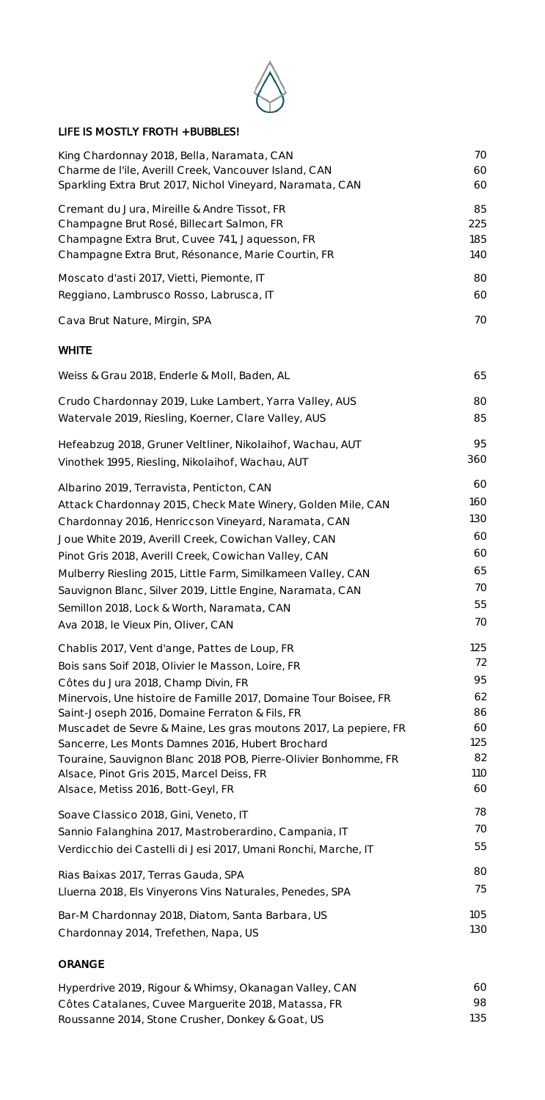

## LIFE IS MOSTLY FROTH + BUBBLES!

| King Chardonnay 2018, Bella, Naramata, CAN                       | 70  |
|------------------------------------------------------------------|-----|
| Charme de l'ile, Averill Creek, Vancouver Island, CAN            | 60  |
| Sparkling Extra Brut 2017, Nichol Vineyard, Naramata, CAN        | 60  |
| Cremant du Jura, Mireille & Andre Tissot, FR                     | 85  |
| Champagne Brut Rosé, Billecart Salmon, FR                        | 225 |
| Champagne Extra Brut, Cuvee 741, Jaquesson, FR                   | 185 |
| Champagne Extra Brut, Résonance, Marie Courtin, FR               | 140 |
| Moscato d'asti 2017, Vietti, Piemonte, IT                        | 80  |
| Reggiano, Lambrusco Rosso, Labrusca, IT                          | 60  |
| Cava Brut Nature, Mirgin, SPA                                    | 70  |
| <b>WHITE</b>                                                     |     |
| Weiss & Grau 2018, Enderle & Moll, Baden, AL                     | 65  |
| Crudo Chardonnay 2019, Luke Lambert, Yarra Valley, AUS           | 80  |
| Watervale 2019, Riesling, Koerner, Clare Valley, AUS             | 85  |
| Hefeabzug 2018, Gruner Veltliner, Nikolaihof, Wachau, AUT        | 95  |
| Vinothek 1995, Riesling, Nikolaihof, Wachau, AUT                 | 360 |
| Albarino 2019, Terravista, Penticton, CAN                        | 60  |
| Attack Chardonnay 2015, Check Mate Winery, Golden Mile, CAN      | 160 |
| Chardonnay 2016, Henriccson Vineyard, Naramata, CAN              | 130 |
| Joue White 2019, Averill Creek, Cowichan Valley, CAN             | 60  |
| Pinot Gris 2018, Averill Creek, Cowichan Valley, CAN             | 60  |
| Mulberry Riesling 2015, Little Farm, Similkameen Valley, CAN     | 65  |
| Sauvignon Blanc, Silver 2019, Little Engine, Naramata, CAN       | 70  |
| Semillon 2018, Lock & Worth, Naramata, CAN                       | 55  |
| Ava 2018, le Vieux Pin, Oliver, CAN                              | 70  |
| Chablis 2017, Vent d'ange, Pattes de Loup, FR                    | 125 |
| Bois sans Soif 2018, Olivier le Masson, Loire, FR                | 72  |
| Côtes du Jura 2018, Champ Divin, FR                              | 95  |
| Minervois, Une histoire de Famille 2017, Domaine Tour Boisee, FR | 62  |
| Saint-Joseph 2016, Domaine Ferraton & Fils, FR                   | 86  |
| Muscadet de Sevre & Maine, Les gras moutons 2017, La pepiere, FR | 60  |
| Sancerre, Les Monts Damnes 2016, Hubert Brochard                 | 125 |
| Touraine, Sauvignon Blanc 2018 POB, Pierre-Olivier Bonhomme, FR  | 82  |
| Alsace, Pinot Gris 2015, Marcel Deiss, FR                        | 110 |
| Alsace, Metiss 2016, Bott-Geyl, FR                               | 60  |
| Soave Classico 2018, Gini, Veneto, IT                            | 78  |
| Sannio Falanghina 2017, Mastroberardino, Campania, IT            | 70  |
| Verdicchio dei Castelli di Jesi 2017, Umani Ronchi, Marche, IT   | 55  |
| Rias Baixas 2017, Terras Gauda, SPA                              | 80  |
| Lluerna 2018, Els Vinyerons Vins Naturales, Penedes, SPA         | 75  |
| Bar-M Chardonnay 2018, Diatom, Santa Barbara, US                 | 105 |
| Chardonnay 2014, Trefethen, Napa, US                             | 130 |

## ORANGE

| Hyperdrive 2019, Rigour & Whimsy, Okanagan Valley, CAN | 60. |
|--------------------------------------------------------|-----|
| Côtes Catalanes, Cuvee Marguerite 2018, Matassa, FR    | 98. |
| Roussanne 2014, Stone Crusher, Donkey & Goat, US       | 135 |